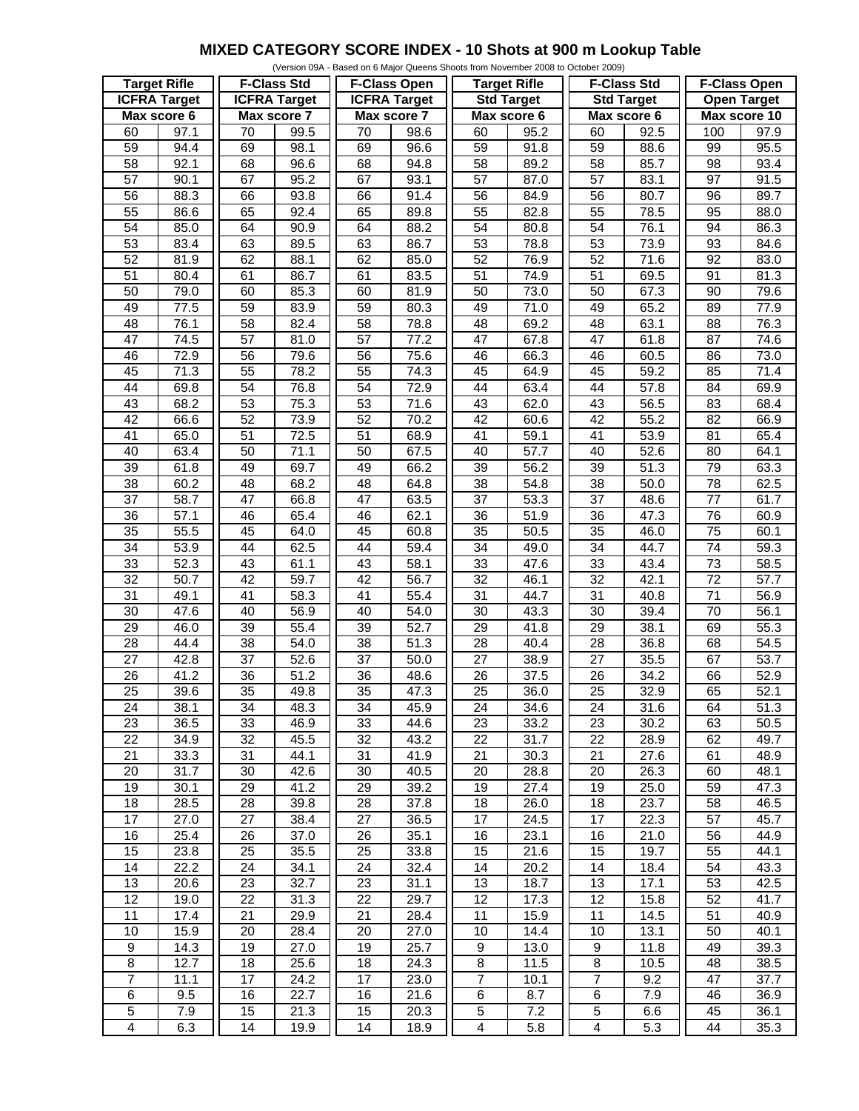## **MIXED CATEGORY SCORE INDEX - 10 Shots at 900 m Lookup Table**

| (Version 09A - Based on 6 Major Queens Shoots from November 2008 to October 2009) |                   |                     |                   |                     |                    |                         |                   |                    |                   |                     |                   |
|-----------------------------------------------------------------------------------|-------------------|---------------------|-------------------|---------------------|--------------------|-------------------------|-------------------|--------------------|-------------------|---------------------|-------------------|
| <b>Target Rifle</b>                                                               |                   | <b>F-Class Std</b>  |                   | <b>F-Class Open</b> |                    | <b>Target Rifle</b>     |                   | <b>F-Class Std</b> |                   | <b>F-Class Open</b> |                   |
| <b>ICFRA Target</b>                                                               |                   | <b>ICFRA</b> Target |                   | <b>ICFRA Target</b> |                    | <b>Std Target</b>       |                   | <b>Std Target</b>  |                   | <b>Open Target</b>  |                   |
| Max score 6                                                                       |                   | Max score 7         |                   | Max score 7         |                    | Max score 6             |                   | Max score 6        |                   | Max score 10        |                   |
| 60                                                                                | 97.1              | 70                  | 99.5              | 70                  | 98.6               | 60                      | 95.2              | 60                 | 92.5              | 100                 | 97.9              |
| 59                                                                                | 94.4              | 69                  | 98.1              | 69                  | 96.6               | 59                      | 91.8              | 59                 | 88.6              | 99                  | 95.5              |
| 58                                                                                | 92.1              | 68                  | 96.6              | 68                  | $\overline{9}$ 4.8 | 58                      | 89.2              | 58                 | 85.7              | 98                  | 93.4              |
| $\overline{57}$                                                                   | 90.1              | 67                  | 95.2              | 67                  | 93.1               | 57                      | 87.0              | $\overline{57}$    | 83.1              | $\overline{97}$     | 91.5              |
|                                                                                   |                   |                     |                   |                     |                    |                         |                   |                    |                   |                     |                   |
| 56                                                                                | 88.3              | 66                  | 93.8              | 66                  | 91.4               | $\overline{56}$         | 84.9              | 56                 | 80.7              | 96                  | 89.7              |
| 55                                                                                | $\overline{86.6}$ | 65                  | 92.4              | 65                  | 89.8               | 55                      | 82.8              | 55                 | 78.5              | 95                  | 88.0              |
| 54                                                                                | 85.0              | 64                  | 90.9              | 64                  | 88.2               | 54                      | 80.8              | 54                 | 76.1              | 94                  | 86.3              |
| 53                                                                                | 83.4              | 63                  | 89.5              | 63                  | 86.7               | 53                      | 78.8              | 53                 | 73.9              | 93                  | 84.6              |
| 52                                                                                | 81.9              | 62                  | 88.1              | 62                  | 85.0               | 52                      | 76.9              | 52                 | 71.6              | 92                  | 83.0              |
| $\overline{51}$                                                                   | 80.4              | 61                  | 86.7              | 61                  | 83.5               | 51                      | 74.9              | $\overline{51}$    | 69.5              | 91                  | 81.3              |
| 50                                                                                | 79.0              | 60                  | 85.3              | 60                  | 81.9               | 50                      | 73.0              | 50                 | 67.3              | 90                  | 79.6              |
| 49                                                                                | 77.5              | 59                  | 83.9              | 59                  | 80.3               | 49                      | 71.0              | 49                 | 65.2              | 89                  | 77.9              |
| 48                                                                                | 76.1              | 58                  | 82.4              | 58                  | 78.8               | 48                      | 69.2              | 48                 | 63.1              | 88                  | 76.3              |
| $\overline{47}$                                                                   | 74.5              | $\overline{57}$     | 81.0              | 57                  | 77.2               | $\overline{47}$         | 67.8              | 47                 | 61.8              | 87                  | 74.6              |
| 46                                                                                | 72.9              | 56                  | 79.6              | 56                  | 75.6               | 46                      | 66.3              | 46                 | 60.5              | 86                  | 73.0              |
| 45                                                                                | 71.3              | 55                  | 78.2              | 55                  | 74.3               | 45                      | 64.9              | 45                 | 59.2              | 85                  | 71.4              |
| 44                                                                                | 69.8              | $\overline{54}$     | 76.8              | 54                  | 72.9               | 44                      | 63.4              | 44                 | 57.8              | 84                  | 69.9              |
| 43                                                                                | 68.2              | 53                  | 75.3              | 53                  | 71.6               | 43                      | 62.0              | 43                 | 56.5              | 83                  | 68.4              |
| $\overline{42}$                                                                   | 66.6              | 52                  | 73.9              | 52                  | 70.2               | 42                      | 60.6              | 42                 | 55.2              | $\overline{82}$     | 66.9              |
| $\overline{41}$                                                                   | 65.0              | $\overline{51}$     | 72.5              | $\overline{51}$     | 68.9               | $\overline{41}$         | 59.1              | $\overline{41}$    | 53.9              | 81                  | 65.4              |
| 40                                                                                | 63.4              | 50                  | 71.1              | 50                  | 67.5               | 40                      | 57.7              | 40                 | 52.6              | 80                  | 64.1              |
| 39                                                                                | 61.8              | 49                  | 69.7              | 49                  | 66.2               | 39                      | 56.2              | 39                 | 51.3              | 79                  | 63.3              |
| 38                                                                                | 60.2              | 48                  | 68.2              | 48                  | 64.8               | 38                      | 54.8              | 38                 | 50.0              | 78                  | 62.5              |
| $\overline{37}$                                                                   | 58.7              | 47                  | 66.8              | 47                  | 63.5               | $\overline{37}$         | $\overline{53.3}$ | $\overline{37}$    | 48.6              | $\overline{77}$     | 61.7              |
| $\overline{36}$                                                                   | 57.1              | 46                  | 65.4              | 46                  | 62.1               | $\overline{36}$         | 51.9              | $\overline{36}$    | 47.3              | 76                  | 60.9              |
| 35                                                                                | 55.5              | 45                  | 64.0              | 45                  | 60.8               | 35                      | 50.5              | 35                 | 46.0              | $\overline{75}$     | 60.1              |
| $\overline{34}$                                                                   | 53.9              | $\overline{44}$     | 62.5              | $\overline{44}$     | 59.4               | $\overline{34}$         | 49.0              | $\overline{34}$    | 44.7              | $\overline{74}$     | 59.3              |
| 33                                                                                | 52.3              | 43                  | 61.1              | 43                  | 58.1               | 33                      | 47.6              | 33                 | 43.4              | $\overline{73}$     | 58.5              |
| $\overline{32}$                                                                   | 50.7              | $\overline{42}$     | 59.7              | $\overline{42}$     | $\frac{1}{66.7}$   | $\overline{32}$         | 46.1              | $\overline{32}$    | 42.1              | $\overline{72}$     | $\overline{57.7}$ |
| 31                                                                                | 49.1              | $\overline{41}$     | 58.3              | $\overline{41}$     | 55.4               | 31                      | 44.7              | 31                 | 40.8              | $\overline{71}$     | 56.9              |
| 30                                                                                | 47.6              | 40                  | 56.9              | 40                  | $\overline{5}4.0$  | 30                      | 43.3              | 30                 | 39.4              | 70                  | 56.1              |
| $\overline{29}$                                                                   | 46.0              | 39                  | $\overline{55.4}$ | 39                  | 52.7               | $\overline{29}$         | 41.8              | $\overline{29}$    | 38.1              | 69                  | 55.3              |
| 28                                                                                | 44.4              | 38                  | 54.0              | 38                  | $\overline{5}1.3$  | 28                      | 40.4              | 28                 | 36.8              | 68                  | 54.5              |
| $\overline{27}$                                                                   | 42.8              | $\overline{37}$     | 52.6              | 37                  | 50.0               | $\overline{27}$         | 38.9              | 27                 | 35.5              | 67                  | $\overline{53.7}$ |
| $\overline{26}$                                                                   | 41.2              | 36                  | $\overline{5}1.2$ | 36                  | 48.6               | $\overline{26}$         | 37.5              | 26                 | 34.2              | 66                  | 52.9              |
| $\overline{25}$                                                                   | 39.6              | 35                  | 49.8              | 35                  | 47.3               | $\overline{25}$         | 36.0              | $\overline{25}$    | 32.9              | 65                  | 52.1              |
| 24                                                                                | 38.1              | 34                  | 48.3              | 34                  | 45.9               | 24                      | 34.6              | 24                 | 31.6              | 64                  | 51.3              |
| 23                                                                                | 36.5              | 33                  | 46.9              | 33                  | 44.6               | 23                      | 33.2              | 23                 | 30.2              | 63                  | 50.5              |
| $\overline{22}$                                                                   | 34.9              | 32                  | 45.5              | 32                  | 43.2               | 22                      | 31.7              | 22                 | 28.9              | 62                  | 49.7              |
| 21                                                                                | 33.3              | 31                  | 44.1              | 31                  | 41.9               | 21                      | 30.3              | 21                 | 27.6              | 61                  | 48.9              |
| 20                                                                                | 31.7              | 30                  | 42.6              | 30                  | 40.5               | 20                      | 28.8              | 20                 | 26.3              | 60                  | 48.1              |
| 19                                                                                | 30.1              | 29                  | 41.2              | 29                  | 39.2               | 19                      | 27.4              | 19                 | 25.0              | 59                  | 47.3              |
| 18                                                                                | 28.5              | 28                  | 39.8              | 28                  | 37.8               | 18                      | 26.0              | 18                 | 23.7              | 58                  | 46.5              |
| 17                                                                                | 27.0              | 27                  | 38.4              | 27                  | 36.5               | 17                      | 24.5              | 17                 | 22.3              | 57                  | 45.7              |
| 16                                                                                | 25.4              | 26                  | 37.0              | 26                  | 35.1               | 16                      | 23.1              | 16                 | 21.0              | 56                  | 44.9              |
| 15                                                                                | 23.8              | 25                  | 35.5              | 25                  | 33.8               | 15                      | 21.6              | 15                 | 19.7              | 55                  | 44.1              |
| 14                                                                                | 22.2              | 24                  | 34.1              | 24                  | 32.4               | 14                      | 20.2              | 14                 | 18.4              | 54                  | 43.3              |
| 13                                                                                | 20.6              | 23                  | 32.7              | 23                  | 31.1               | 13                      | 18.7              | 13                 | 17.1              | 53                  | 42.5              |
| $\overline{12}$                                                                   | 19.0              | $\overline{22}$     | 31.3              | 22                  | $\overline{29.7}$  | $\overline{12}$         | 17.3              | $\overline{12}$    | 15.8              | 52                  | 41.7              |
| $\overline{11}$                                                                   | 17.4              | 21                  | 29.9              | 21                  | 28.4               | 11                      | 15.9              | 11                 | 14.5              | 51                  | 40.9              |
| 10                                                                                | 15.9              | 20                  | 28.4              | 20                  | 27.0               | 10                      | 14.4              | $10$               | 13.1              | 50                  | 40.1              |
| $\boldsymbol{9}$                                                                  | 14.3              | 19                  | $\overline{2}7.0$ | 19                  | 25.7               | $\boldsymbol{9}$        | 13.0              | 9                  | $\overline{1}1.8$ | 49                  | 39.3              |
| 8                                                                                 | 12.7              | 18                  | 25.6              | 18                  | 24.3               | 8                       | 11.5              | 8                  | 10.5              | 48                  | 38.5              |
| $\overline{7}$                                                                    | 11.1              | $\overline{17}$     | 24.2              | 17                  | 23.0               | $\overline{7}$          | 10.1              | $\overline{7}$     | 9.2               | $\overline{47}$     | 37.7              |
| $\overline{6}$                                                                    | 9.5               | 16                  | 22.7              | 16                  | 21.6               | 6                       | 8.7               | $\,6$              | 7.9               | 46                  | 36.9              |
| 5                                                                                 | 7.9               | 15                  | 21.3              | 15                  | 20.3               | $\mathbf 5$             | 7.2               | $\overline{5}$     | 6.6               | 45                  | 36.1              |
| $\overline{4}$                                                                    | 6.3               | $\overline{14}$     | 19.9              | 14                  | 18.9               | $\overline{\mathbf{4}}$ | 5.8               | $\overline{4}$     | 5.3               | $\overline{44}$     | 35.3              |
|                                                                                   |                   |                     |                   |                     |                    |                         |                   |                    |                   |                     |                   |